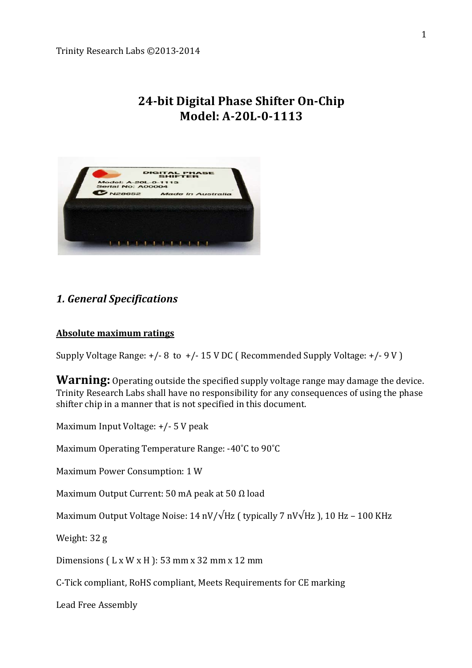# **24-bit Digital Phase Shifter On-Chip** Model: A-20L-0-1113



# **1. General Specifications**

## **Absolute maximum ratings**

Supply Voltage Range:  $+/-8$  to  $+/-15$  V DC ( Recommended Supply Voltage:  $+/-9$  V )

**Warning:** Operating outside the specified supply voltage range may damage the device. Trinity Research Labs shall have no responsibility for any consequences of using the phase shifter chip in a manner that is not specified in this document.

Maximum Input Voltage: +/- 5 V peak

Maximum Operating Temperature Range: -40°C to 90°C

Maximum Power Consumption: 1 W

Maximum Output Current: 50 mA peak at 50  $\Omega$  load

Maximum Output Voltage Noise:  $14 \frac{\text{nV}}{\sqrt{\text{Hz}}}$  ( typically 7  $\frac{\text{nV}}{\text{Hz}}$  ), 10 Hz – 100 KHz

Weight: 32 g

Dimensions ( $L \times W \times H$ ): 53 mm  $\times$  32 mm  $\times$  12 mm

C-Tick compliant, RoHS compliant, Meets Requirements for CE marking

Lead Free Assembly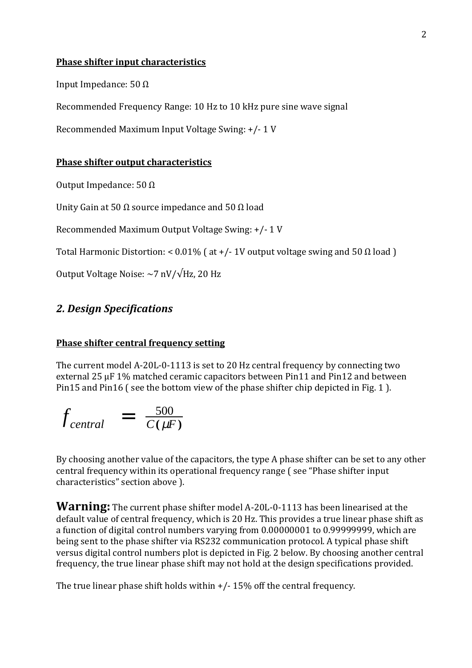#### **Phase shifter input characteristics**

Input Impedance: 50  $Ω$ 

Recommended Frequency Range: 10 Hz to 10 kHz pure sine wave signal

Recommended Maximum Input Voltage Swing: +/- 1 V

#### **Phase shifter output characteristics**

Output Impedance: 50 Ω

Unity Gain at 50  $\Omega$  source impedance and 50  $\Omega$  load

Recommended Maximum Output Voltage Swing: +/- 1 V

Total Harmonic Distortion: <  $0.01\%$  ( at +/-1V output voltage swing and 50  $\Omega$  load )

Output Voltage Noise:  $\sim$ 7 nV/ $\sqrt{Hz}$ , 20 Hz

# *2.!Design!Specifications*

#### **Phase shifter central frequency setting**

The current model A-20L-0-1113 is set to 20 Hz central frequency by connecting two external 25 uF 1% matched ceramic capacitors between Pin11 and Pin12 and between Pin15 and Pin16 (see the bottom view of the phase shifter chip depicted in Fig. 1).

$$
f_{central} = \frac{500}{C(\mu F)}
$$

By choosing another value of the capacitors, the type A phase shifter can be set to any other central frequency within its operational frequency range (see "Phase shifter input characteristics" section above ).

**Warning:** The current phase shifter model A-20L-0-1113 has been linearised at the default value of central frequency, which is 20 Hz. This provides a true linear phase shift as a function of digital control numbers varying from 0.00000001 to 0.99999999, which are being sent to the phase shifter via RS232 communication protocol. A typical phase shift versus digital control numbers plot is depicted in Fig. 2 below. By choosing another central frequency, the true linear phase shift may not hold at the design specifications provided.

The true linear phase shift holds within  $+/-15%$  off the central frequency.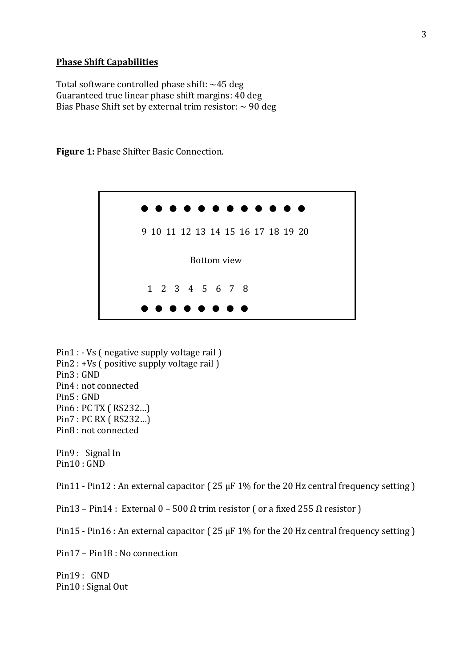#### **Phase Shift Capabilities**

Total software controlled phase shift:  $~45$  deg Guaranteed true linear phase shift margins: 40 deg Bias Phase Shift set by external trim resistor:  $\sim$  90 deg

> 1 2 3 4 5 6 7 8 9 10 11 12 13 14 15 16 17 18 19 20 Bottom view

Figure 1: Phase Shifter Basic Connection.

Pin1 : - Vs ( negative supply voltage rail ) Pin2 : +Vs ( positive supply voltage rail )  $Pin3:GND$ Pin4 : not connected Pin5 : GND Pin6 : PC TX ( RS232...) Pin7 : PC RX ( RS232...) Pin8 : not connected

Pin9 : Signal In  $Pin10: GND$ 

Pin11 - Pin12 : An external capacitor ( $25 \mu$ F 1% for the 20 Hz central frequency setting)

Pin13 – Pin14: External 0 – 500 Ω trim resistor ( or a fixed 255 Ω resistor )

Pin15 - Pin16 : An external capacitor (25 µF 1% for the 20 Hz central frequency setting )

 $Pin17 - Pin18 \cdot No.$  connection

Pin19: GND Pin10: Signal Out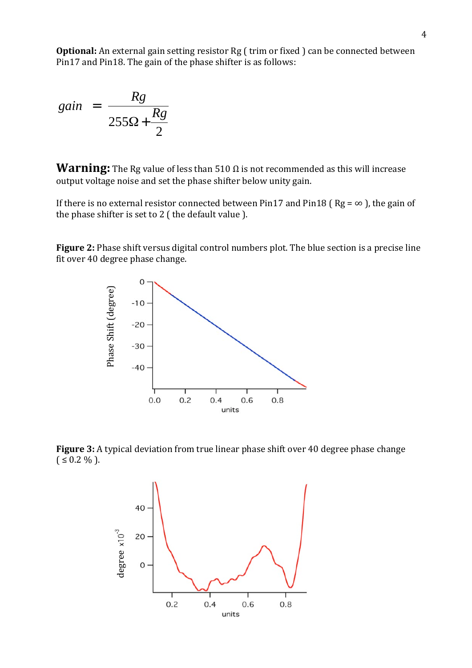**Optional:** An external gain setting resistor Rg (trim or fixed) can be connected between Pin17 and Pin18. The gain of the phase shifter is as follows:

$$
gain = \frac{Rg}{255\Omega + \frac{Rg}{2}}
$$

**Warning:** The Rg value of less than 510  $\Omega$  is not recommended as this will increase output voltage noise and set the phase shifter below unity gain.

If there is no external resistor connected between Pin17 and Pin18 ( $\text{Rg} = \infty$ ), the gain of the phase shifter is set to  $2$  (the default value).

**Figure 2:** Phase shift versus digital control numbers plot. The blue section is a precise line fit over 40 degree phase change.



**Figure 3:** A typical deviation from true linear phase shift over 40 degree phase change  $( \leq 0.2 \% ).$ 

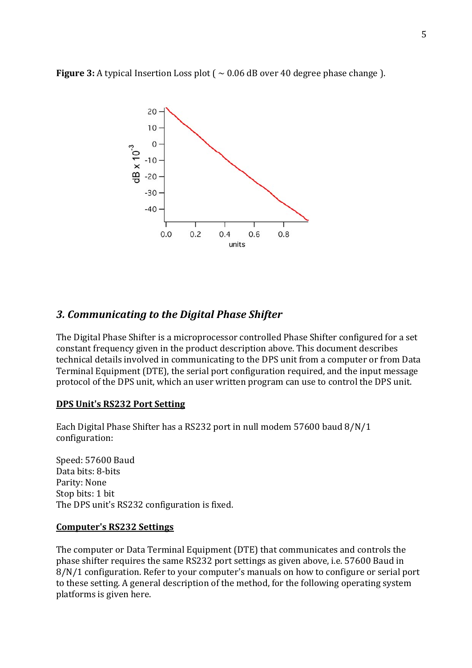**Figure 3:** A typical Insertion Loss plot ( $\sim 0.06$  dB over 40 degree phase change).



# **3. Communicating to the Digital Phase Shifter**

The Digital Phase Shifter is a microprocessor controlled Phase Shifter configured for a set constant frequency given in the product description above. This document describes technical details involved in communicating to the DPS unit from a computer or from Data Terminal Equipment (DTE), the serial port configuration required, and the input message protocol of the DPS unit, which an user written program can use to control the DPS unit.

#### **DPS Unit's RS232 Port Setting**

Each Digital Phase Shifter has a RS232 port in null modem 57600 baud 8/N/1 configuration:

Speed: 57600 Baud Data bits: 8-bits Parity: None Stop bits: 1 bit The DPS unit's RS232 configuration is fixed.

#### **Computer's RS232 Settings**

The computer or Data Terminal Equipment (DTE) that communicates and controls the phase shifter requires the same RS232 port settings as given above, i.e. 57600 Baud in 8/N/1 configuration. Refer to your computer's manuals on how to configure or serial port to these setting. A general description of the method, for the following operating system platforms is given here.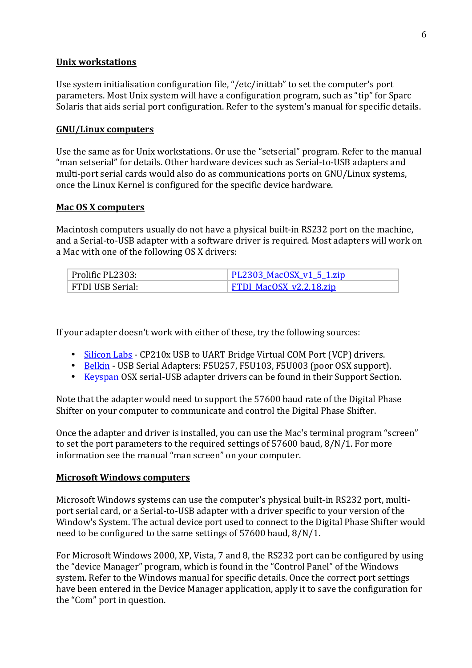#### **Unix!workstations**

Use system initialisation configuration file, "/etc/inittab" to set the computer's port parameters. Most Unix system will have a configuration program, such as "tip" for Sparc Solaris that aids serial port configuration. Refer to the system's manual for specific details.

## **GNU/Linux!computers**

Use the same as for Unix workstations. Or use the "setserial" program. Refer to the manual "man setserial" for details. Other hardware devices such as Serial-to-USB adapters and multi-port serial cards would also do as communications ports on GNU/Linux systems, once the Linux Kernel is configured for the specific device hardware.

## **Mac OS X computers**

Macintosh computers usually do not have a physical built-in RS232 port on the machine, and a Serial-to-USB adapter with a software driver is required. Most adapters will work on a Mac with one of the following OS X drivers:

| Prolific PL2303: | <u>PL2303 MacOSX v1 5 1.zip</u> |
|------------------|---------------------------------|
| FTDI USB Serial: | FTDI MacOSX v2.2.18.zip         |

If your adapter doesn't work with either of these, try the following sources:

- Silicon Labs CP210x USB to UART Bridge Virtual COM Port (VCP) drivers.
- Belkin USB Serial Adapters: F5U257, F5U103, F5U003 (poor OSX support).
- Keyspan OSX serial-USB adapter drivers can be found in their Support Section.

Note that the adapter would need to support the 57600 baud rate of the Digital Phase Shifter on your computer to communicate and control the Digital Phase Shifter.

Once the adapter and driver is installed, you can use the Mac's terminal program "screen" to set the port parameters to the required settings of  $57600$  baud,  $8/N/1$ . For more information see the manual "man screen" on your computer.

## **Microsoft Windows computers**

Microsoft Windows systems can use the computer's physical built-in RS232 port, multiport serial card, or a Serial-to-USB adapter with a driver specific to your version of the Window's System. The actual device port used to connect to the Digital Phase Shifter would need to be configured to the same settings of 57600 baud, 8/N/1.

For Microsoft Windows 2000, XP, Vista, 7 and 8, the RS232 port can be configured by using the "device Manager" program, which is found in the "Control Panel" of the Windows system. Refer to the Windows manual for specific details. Once the correct port settings have been entered in the Device Manager application, apply it to save the configuration for the "Com" port in question.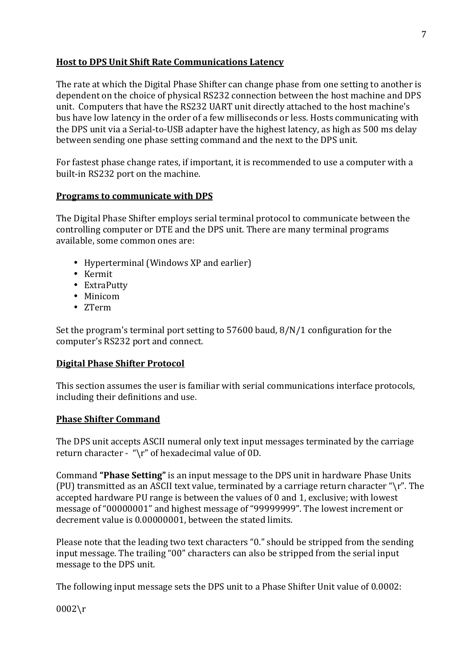## **Host to DPS Unit Shift Rate Communications Latency**

The rate at which the Digital Phase Shifter can change phase from one setting to another is dependent on the choice of physical RS232 connection between the host machine and DPS unit. Computers that have the RS232 UART unit directly attached to the host machine's bus have low latency in the order of a few milliseconds or less. Hosts communicating with the DPS unit via a Serial-to-USB adapter have the highest latency, as high as 500 ms delay between sending one phase setting command and the next to the DPS unit.

For fastest phase change rates, if important, it is recommended to use a computer with a built-in RS232 port on the machine.

## **Programs to communicate with DPS**

The Digital Phase Shifter employs serial terminal protocol to communicate between the controlling computer or DTE and the DPS unit. There are many terminal programs available, some common ones are:

- Hyperterminal (Windows XP and earlier)
- Kermit
- ExtraPutty
- Minicom
- ZTerm

Set the program's terminal port setting to  $57600$  baud,  $8/N/1$  configuration for the computer's RS232 port and connect.

# **Digital Phase Shifter Protocol**

This section assumes the user is familiar with serial communications interface protocols, including their definitions and use.

# **Phase Shifter Command**

The DPS unit accepts ASCII numeral only text input messages terminated by the carriage return character - "\r" of hexadecimal value of 0D.

Command "Phase Setting" is an input message to the DPS unit in hardware Phase Units (PU) transmitted as an ASCII text value, terminated by a carriage return character " $\gamma$ ". The accepted hardware PU range is between the values of 0 and 1, exclusive; with lowest message of "00000001" and highest message of "99999999". The lowest increment or decrement value is 0.00000001, between the stated limits.

Please note that the leading two text characters "0." should be stripped from the sending input message. The trailing "00" characters can also be stripped from the serial input message to the DPS unit.

The following input message sets the DPS unit to a Phase Shifter Unit value of 0.0002:

0002\r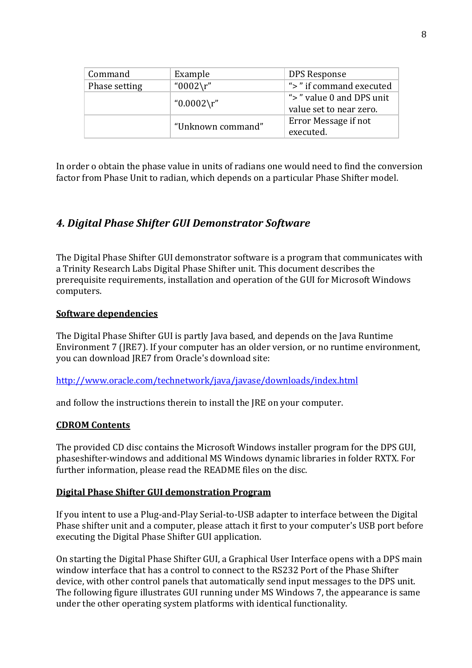| Command       | Example           | DPS Response                                        |
|---------------|-------------------|-----------------------------------------------------|
| Phase setting | "0002\r"          | ">" if command executed                             |
|               | " $0.0002\$ r"    | ">" value 0 and DPS unit<br>value set to near zero. |
|               |                   |                                                     |
|               | "Unknown command" | Error Message if not                                |
|               |                   | executed.                                           |

In order o obtain the phase value in units of radians one would need to find the conversion factor from Phase Unit to radian, which depends on a particular Phase Shifter model.

# **4. Digital Phase Shifter GUI Demonstrator Software**

The Digital Phase Shifter GUI demonstrator software is a program that communicates with a Trinity Research Labs Digital Phase Shifter unit. This document describes the prerequisite requirements, installation and operation of the GUI for Microsoft Windows computers.

## **Software dependencies**

The Digital Phase Shifter GUI is partly Java based, and depends on the Java Runtime Environment 7 (JRE7). If your computer has an older version, or no runtime environment, you can download JRE7 from Oracle's download site:

## http://www.oracle.com/technetwork/java/javase/downloads/index.html

and follow the instructions therein to install the JRE on your computer.

#### **CDROM!Contents**

The provided CD disc contains the Microsoft Windows installer program for the DPS GUI. phaseshifter-windows and additional MS Windows dynamic libraries in folder RXTX. For further information, please read the README files on the disc.

## **Digital Phase Shifter GUI demonstration Program**

If you intent to use a Plug-and-Play Serial-to-USB adapter to interface between the Digital Phase shifter unit and a computer, please attach it first to your computer's USB port before executing the Digital Phase Shifter GUI application.

On starting the Digital Phase Shifter GUI, a Graphical User Interface opens with a DPS main window interface that has a control to connect to the RS232 Port of the Phase Shifter device, with other control panels that automatically send input messages to the DPS unit. The following figure illustrates GUI running under MS Windows 7, the appearance is same under the other operating system platforms with identical functionality.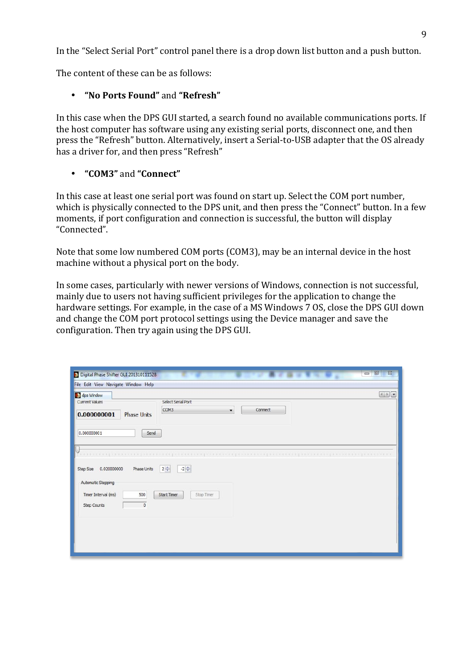In the "Select Serial Port" control panel there is a drop down list button and a push button.

The content of these can be as follows:

## • **"No!Ports!Found"**!and!**"Refresh"**

In this case when the DPS GUI started, a search found no available communications ports. If the host computer has software using any existing serial ports, disconnect one, and then press the "Refresh" button. Alternatively, insert a Serial-to-USB adapter that the OS already has a driver for, and then press "Refresh"

## • **"COM3"**!and!**"Connect"**

In this case at least one serial port was found on start up. Select the COM port number, which is physically connected to the DPS unit, and then press the "Connect" button. In a few moments, if port configuration and connection is successful, the button will display "Connected".

Note that some low numbered COM ports (COM3), may be an internal device in the host machine without a physical port on the body.

In some cases, particularly with newer versions of Windows, connection is not successful, mainly due to users not having sufficient privileges for the application to change the hardware settings. For example, in the case of a MS Windows 7 OS, close the DPS GUI down and change the COM port protocol settings using the Device manager and save the configuration. Then try again using the DPS GUI.

| Digital Phase Shifter GUI 201310111528<br>File Edit View Navigate Window Help                      |                                                                       | $\Sigma$<br>回<br>$\Box$ |
|----------------------------------------------------------------------------------------------------|-----------------------------------------------------------------------|-------------------------|
| dps Window<br>Current Values<br>0.000000001<br><b>Phase Units</b><br>Send<br>0.000000001           | Select Serial Port<br>COM <sub>3</sub><br>Connect<br>۰.               |                         |
| <b>Phase Units</b><br>0.020000000<br>Step Size<br>Automatic Stepping<br>Timer Interval (ms)<br>500 | $2\frac{1}{x}$<br>$-2\frac{4}{v}$<br><b>Start Timer</b><br>Stop Timer |                         |
| 0<br>Step Counts                                                                                   |                                                                       |                         |